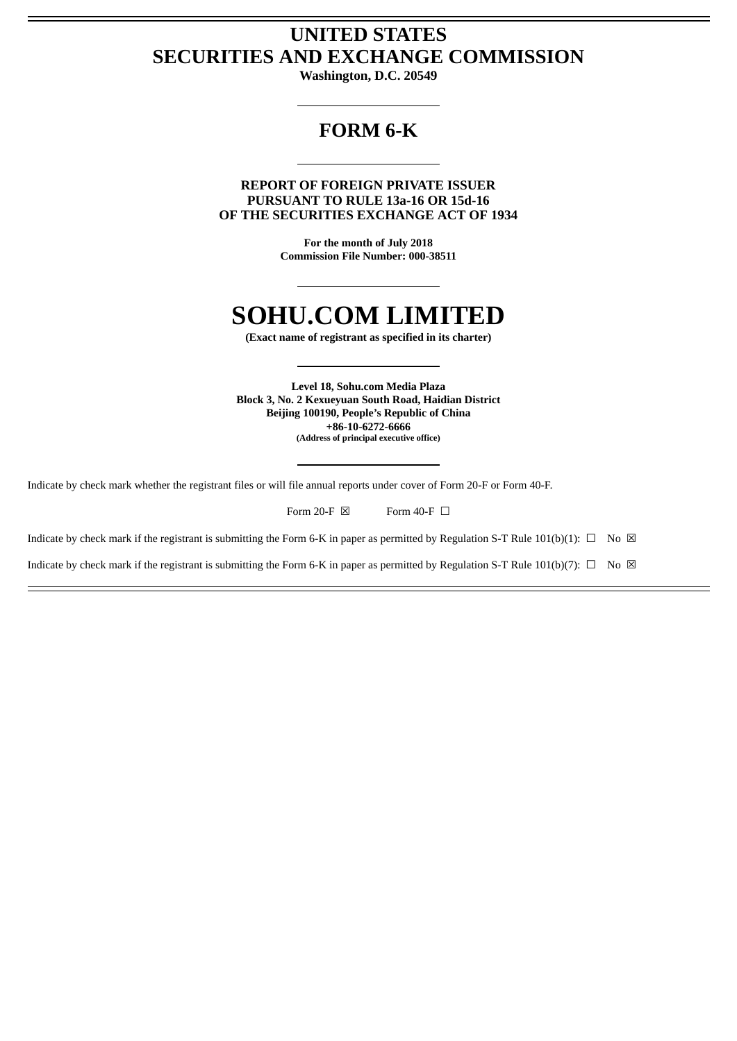## **UNITED STATES SECURITIES AND EXCHANGE COMMISSION**

**Washington, D.C. 20549**

# **FORM 6-K**

**REPORT OF FOREIGN PRIVATE ISSUER PURSUANT TO RULE 13a-16 OR 15d-16 OF THE SECURITIES EXCHANGE ACT OF 1934**

> **For the month of July 2018 Commission File Number: 000-38511**

# **SOHU.COM LIMITED**

**(Exact name of registrant as specified in its charter)**

**Level 18, Sohu.com Media Plaza Block 3, No. 2 Kexueyuan South Road, Haidian District Beijing 100190, People's Republic of China +86-10-6272-6666 (Address of principal executive office)**

Indicate by check mark whether the registrant files or will file annual reports under cover of Form 20-F or Form 40-F.

| Form 20-F $\boxtimes$ | Form 40-F $\Box$ |  |
|-----------------------|------------------|--|
|                       |                  |  |

Indicate by check mark if the registrant is submitting the Form 6-K in paper as permitted by Regulation S-T Rule 101(b)(1):  $\Box$  No  $\boxtimes$ 

Indicate by check mark if the registrant is submitting the Form 6-K in paper as permitted by Regulation S-T Rule 101(b)(7):  $\Box$  No  $\boxtimes$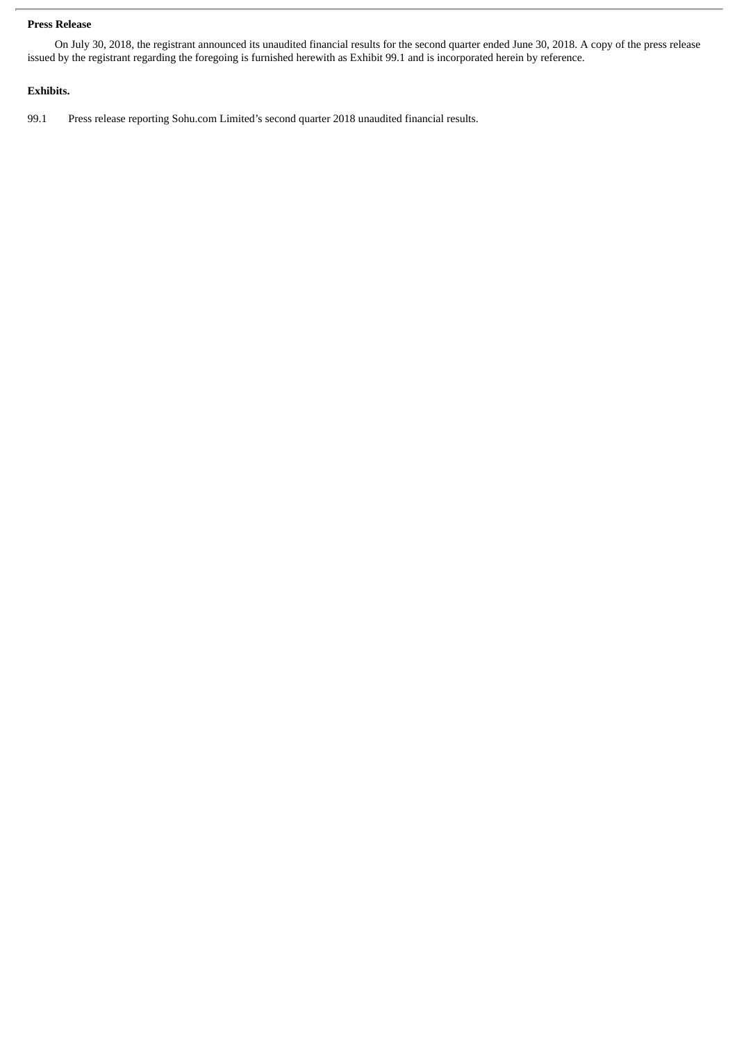#### **Press Release**

On July 30, 2018, the registrant announced its unaudited financial results for the second quarter ended June 30, 2018. A copy of the press release issued by the registrant regarding the foregoing is furnished herewith as Exhibit 99.1 and is incorporated herein by reference.

## **Exhibits.**

99.1 Press release reporting Sohu.com Limited's second quarter 2018 unaudited financial results.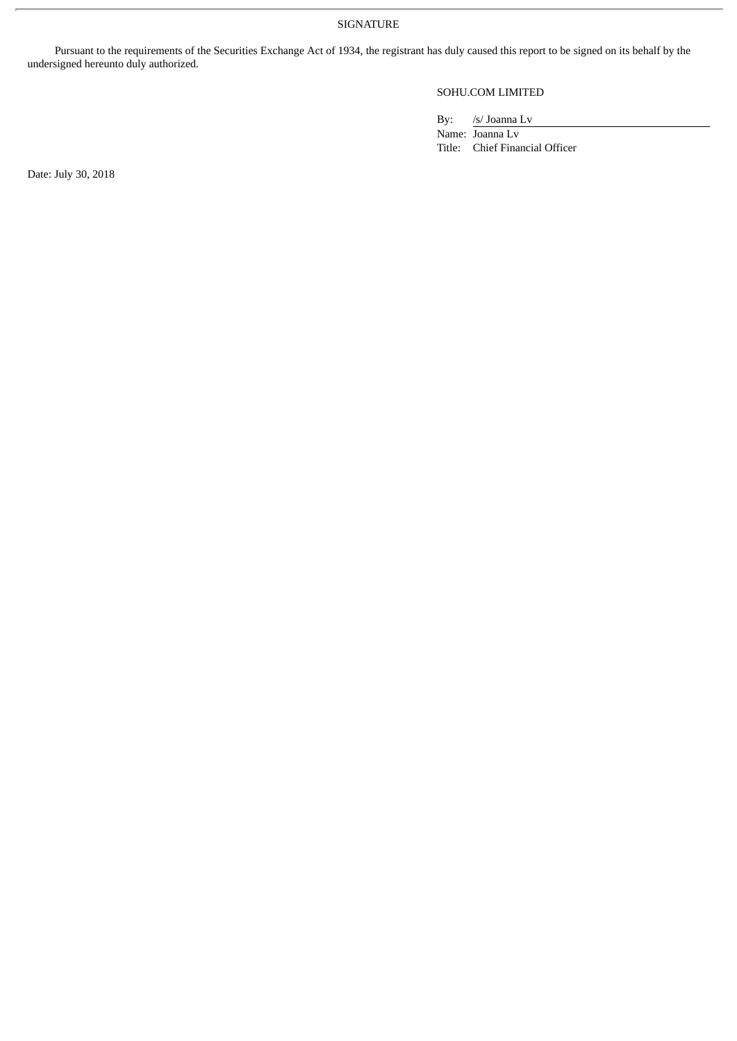SIGNATURE

Pursuant to the requirements of the Securities Exchange Act of 1934, the registrant has duly caused this report to be signed on its behalf by the undersigned hereunto duly authorized.

## SOHU.COM LIMITED

By: /s/ Joanna Lv

Name: Joanna Lv Title: Chief Financial Officer

Date: July 30, 2018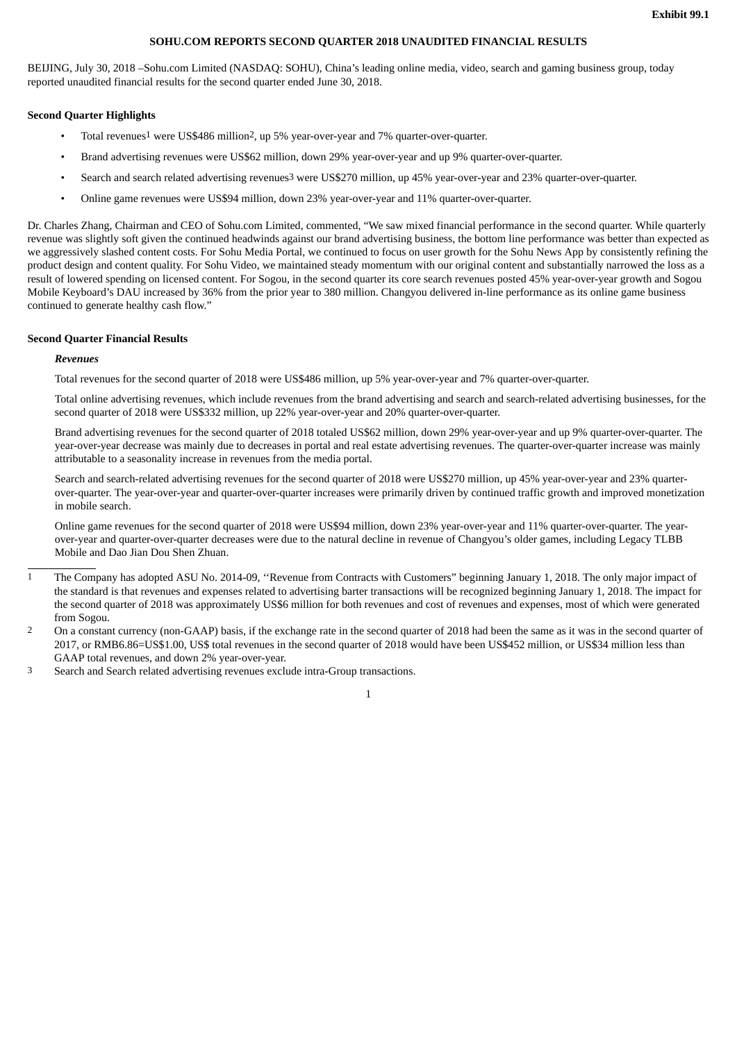#### **SOHU.COM REPORTS SECOND QUARTER 2018 UNAUDITED FINANCIAL RESULTS**

BEIJING, July 30, 2018 –Sohu.com Limited (NASDAQ: SOHU), China's leading online media, video, search and gaming business group, today reported unaudited financial results for the second quarter ended June 30, 2018.

#### **Second Quarter Highlights**

- Total revenues1 were US\$486 million2, up 5% year-over-year and 7% quarter-over-quarter.
- Brand advertising revenues were US\$62 million, down 29% year-over-year and up 9% quarter-over-quarter.
- Search and search related advertising revenues3 were US\$270 million, up 45% year-over-year and 23% quarter-over-quarter.
- Online game revenues were US\$94 million, down 23% year-over-year and 11% quarter-over-quarter.

Dr. Charles Zhang, Chairman and CEO of Sohu.com Limited, commented, "We saw mixed financial performance in the second quarter. While quarterly revenue was slightly soft given the continued headwinds against our brand advertising business, the bottom line performance was better than expected as we aggressively slashed content costs. For Sohu Media Portal, we continued to focus on user growth for the Sohu News App by consistently refining the product design and content quality. For Sohu Video, we maintained steady momentum with our original content and substantially narrowed the loss as a result of lowered spending on licensed content. For Sogou, in the second quarter its core search revenues posted 45% year-over-year growth and Sogou Mobile Keyboard's DAU increased by 36% from the prior year to 380 million. Changyou delivered in-line performance as its online game business continued to generate healthy cash flow."

#### **Second Quarter Financial Results**

#### *Revenues*

Total revenues for the second quarter of 2018 were US\$486 million, up 5% year-over-year and 7% quarter-over-quarter.

Total online advertising revenues, which include revenues from the brand advertising and search and search-related advertising businesses, for the second quarter of 2018 were US\$332 million, up 22% year-over-year and 20% quarter-over-quarter.

Brand advertising revenues for the second quarter of 2018 totaled US\$62 million, down 29% year-over-year and up 9% quarter-over-quarter. The year-over-year decrease was mainly due to decreases in portal and real estate advertising revenues. The quarter-over-quarter increase was mainly attributable to a seasonality increase in revenues from the media portal.

Search and search-related advertising revenues for the second quarter of 2018 were US\$270 million, up 45% year-over-year and 23% quarterover-quarter. The year-over-year and quarter-over-quarter increases were primarily driven by continued traffic growth and improved monetization in mobile search.

Online game revenues for the second quarter of 2018 were US\$94 million, down 23% year-over-year and 11% quarter-over-quarter. The yearover-year and quarter-over-quarter decreases were due to the natural decline in revenue of Changyou's older games, including Legacy TLBB Mobile and Dao Jian Dou Shen Zhuan.

- 1 The Company has adopted ASU No. 2014-09, ''Revenue from Contracts with Customers" beginning January 1, 2018. The only major impact of the standard is that revenues and expenses related to advertising barter transactions will be recognized beginning January 1, 2018. The impact for the second quarter of 2018 was approximately US\$6 million for both revenues and cost of revenues and expenses, most of which were generated from Sogou.
- 2 On a constant currency (non-GAAP) basis, if the exchange rate in the second quarter of 2018 had been the same as it was in the second quarter of 2017, or RMB6.86=US\$1.00, US\$ total revenues in the second quarter of 2018 would have been US\$452 million, or US\$34 million less than GAAP total revenues, and down 2% year-over-year.
- 3 Search and Search related advertising revenues exclude intra-Group transactions.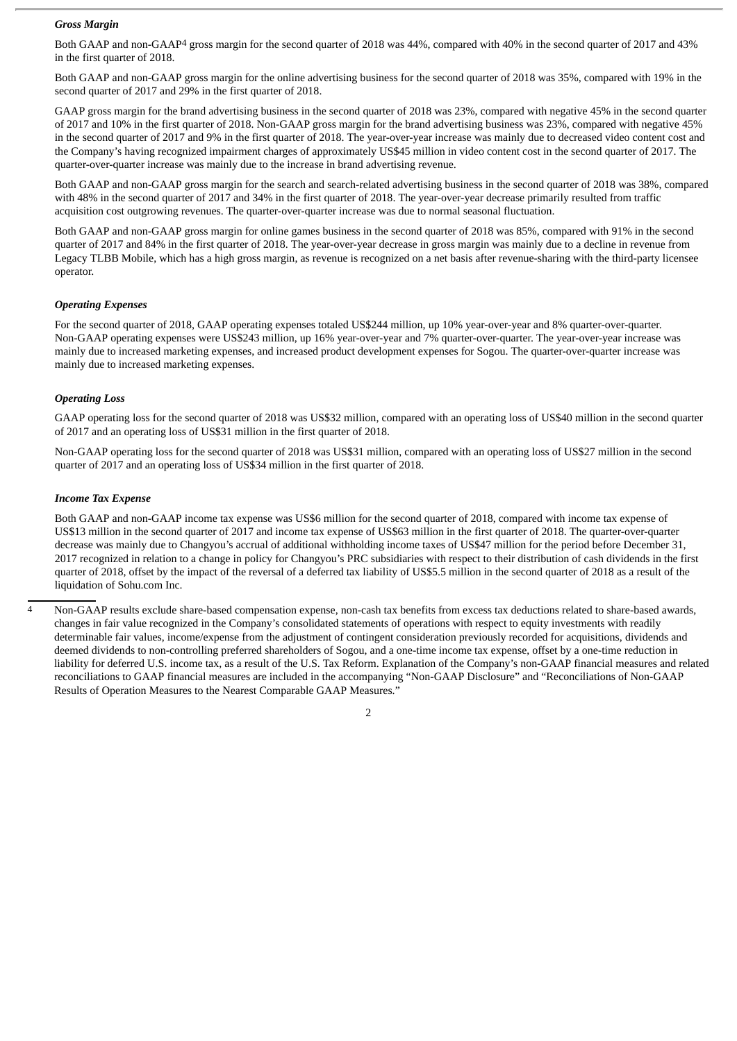#### *Gross Margin*

Both GAAP and non-GAAP4 gross margin for the second quarter of 2018 was 44%, compared with 40% in the second quarter of 2017 and 43% in the first quarter of 2018.

Both GAAP and non-GAAP gross margin for the online advertising business for the second quarter of 2018 was 35%, compared with 19% in the second quarter of 2017 and 29% in the first quarter of 2018.

GAAP gross margin for the brand advertising business in the second quarter of 2018 was 23%, compared with negative 45% in the second quarter of 2017 and 10% in the first quarter of 2018. Non-GAAP gross margin for the brand advertising business was 23%, compared with negative 45% in the second quarter of 2017 and 9% in the first quarter of 2018. The year-over-year increase was mainly due to decreased video content cost and the Company's having recognized impairment charges of approximately US\$45 million in video content cost in the second quarter of 2017. The quarter-over-quarter increase was mainly due to the increase in brand advertising revenue.

Both GAAP and non-GAAP gross margin for the search and search-related advertising business in the second quarter of 2018 was 38%, compared with 48% in the second quarter of 2017 and 34% in the first quarter of 2018. The year-over-year decrease primarily resulted from traffic acquisition cost outgrowing revenues. The quarter-over-quarter increase was due to normal seasonal fluctuation.

Both GAAP and non-GAAP gross margin for online games business in the second quarter of 2018 was 85%, compared with 91% in the second quarter of 2017 and 84% in the first quarter of 2018. The year-over-year decrease in gross margin was mainly due to a decline in revenue from Legacy TLBB Mobile, which has a high gross margin, as revenue is recognized on a net basis after revenue-sharing with the third-party licensee operator.

#### *Operating Expenses*

For the second quarter of 2018, GAAP operating expenses totaled US\$244 million, up 10% year-over-year and 8% quarter-over-quarter. Non-GAAP operating expenses were US\$243 million, up 16% year-over-year and 7% quarter-over-quarter. The year-over-year increase was mainly due to increased marketing expenses, and increased product development expenses for Sogou. The quarter-over-quarter increase was mainly due to increased marketing expenses.

#### *Operating Loss*

GAAP operating loss for the second quarter of 2018 was US\$32 million, compared with an operating loss of US\$40 million in the second quarter of 2017 and an operating loss of US\$31 million in the first quarter of 2018.

Non-GAAP operating loss for the second quarter of 2018 was US\$31 million, compared with an operating loss of US\$27 million in the second quarter of 2017 and an operating loss of US\$34 million in the first quarter of 2018.

#### *Income Tax Expense*

Both GAAP and non-GAAP income tax expense was US\$6 million for the second quarter of 2018, compared with income tax expense of US\$13 million in the second quarter of 2017 and income tax expense of US\$63 million in the first quarter of 2018. The quarter-over-quarter decrease was mainly due to Changyou's accrual of additional withholding income taxes of US\$47 million for the period before December 31, 2017 recognized in relation to a change in policy for Changyou's PRC subsidiaries with respect to their distribution of cash dividends in the first quarter of 2018, offset by the impact of the reversal of a deferred tax liability of US\$5.5 million in the second quarter of 2018 as a result of the liquidation of Sohu.com Inc.

4 Non-GAAP results exclude share-based compensation expense, non-cash tax benefits from excess tax deductions related to share-based awards, changes in fair value recognized in the Company's consolidated statements of operations with respect to equity investments with readily determinable fair values, income/expense from the adjustment of contingent consideration previously recorded for acquisitions, dividends and deemed dividends to non-controlling preferred shareholders of Sogou, and a one-time income tax expense, offset by a one-time reduction in liability for deferred U.S. income tax, as a result of the U.S. Tax Reform. Explanation of the Company's non-GAAP financial measures and related reconciliations to GAAP financial measures are included in the accompanying "Non-GAAP Disclosure" and "Reconciliations of Non-GAAP Results of Operation Measures to the Nearest Comparable GAAP Measures."

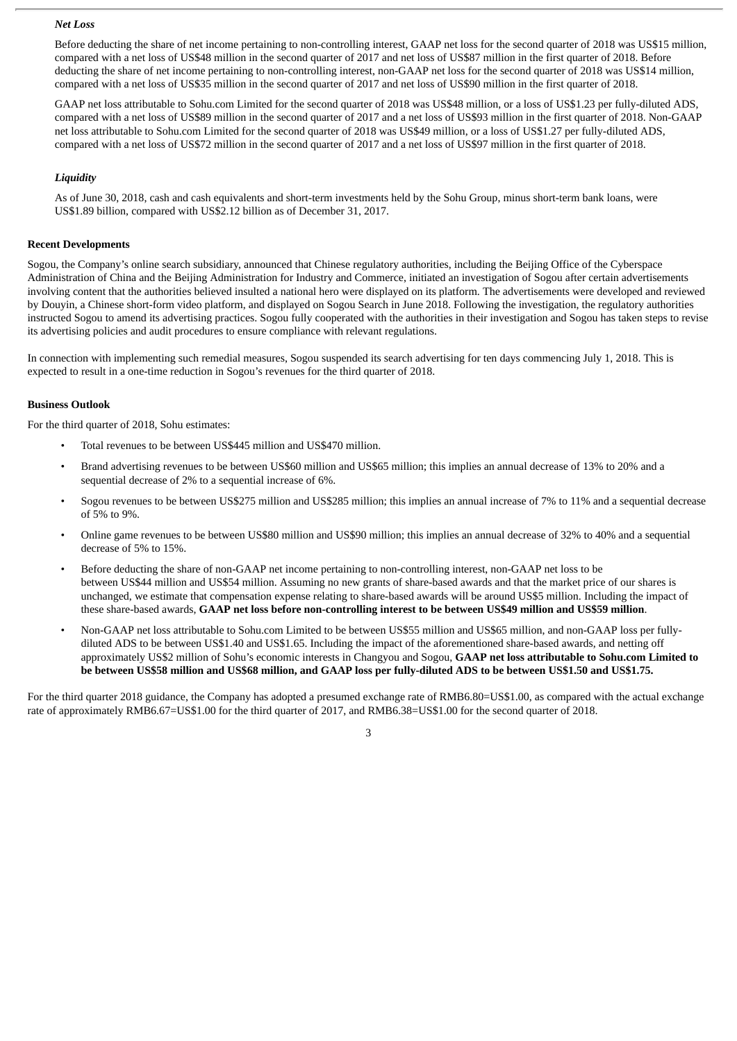#### *Net Loss*

Before deducting the share of net income pertaining to non-controlling interest, GAAP net loss for the second quarter of 2018 was US\$15 million, compared with a net loss of US\$48 million in the second quarter of 2017 and net loss of US\$87 million in the first quarter of 2018. Before deducting the share of net income pertaining to non-controlling interest, non-GAAP net loss for the second quarter of 2018 was US\$14 million, compared with a net loss of US\$35 million in the second quarter of 2017 and net loss of US\$90 million in the first quarter of 2018.

GAAP net loss attributable to Sohu.com Limited for the second quarter of 2018 was US\$48 million, or a loss of US\$1.23 per fully-diluted ADS, compared with a net loss of US\$89 million in the second quarter of 2017 and a net loss of US\$93 million in the first quarter of 2018. Non-GAAP net loss attributable to Sohu.com Limited for the second quarter of 2018 was US\$49 million, or a loss of US\$1.27 per fully-diluted ADS, compared with a net loss of US\$72 million in the second quarter of 2017 and a net loss of US\$97 million in the first quarter of 2018.

#### *Liquidity*

As of June 30, 2018, cash and cash equivalents and short-term investments held by the Sohu Group, minus short-term bank loans, were US\$1.89 billion, compared with US\$2.12 billion as of December 31, 2017.

#### **Recent Developments**

Sogou, the Company's online search subsidiary, announced that Chinese regulatory authorities, including the Beijing Office of the Cyberspace Administration of China and the Beijing Administration for Industry and Commerce, initiated an investigation of Sogou after certain advertisements involving content that the authorities believed insulted a national hero were displayed on its platform. The advertisements were developed and reviewed by Douyin, a Chinese short-form video platform, and displayed on Sogou Search in June 2018. Following the investigation, the regulatory authorities instructed Sogou to amend its advertising practices. Sogou fully cooperated with the authorities in their investigation and Sogou has taken steps to revise its advertising policies and audit procedures to ensure compliance with relevant regulations.

In connection with implementing such remedial measures, Sogou suspended its search advertising for ten days commencing July 1, 2018. This is expected to result in a one-time reduction in Sogou's revenues for the third quarter of 2018.

#### **Business Outlook**

For the third quarter of 2018, Sohu estimates:

- Total revenues to be between US\$445 million and US\$470 million.
- Brand advertising revenues to be between US\$60 million and US\$65 million; this implies an annual decrease of 13% to 20% and a sequential decrease of 2% to a sequential increase of 6%.
- Sogou revenues to be between US\$275 million and US\$285 million; this implies an annual increase of 7% to 11% and a sequential decrease of 5% to 9%.
- Online game revenues to be between US\$80 million and US\$90 million; this implies an annual decrease of 32% to 40% and a sequential decrease of 5% to 15%.
- Before deducting the share of non-GAAP net income pertaining to non-controlling interest, non-GAAP net loss to be between US\$44 million and US\$54 million. Assuming no new grants of share-based awards and that the market price of our shares is unchanged, we estimate that compensation expense relating to share-based awards will be around US\$5 million. Including the impact of these share-based awards, **GAAP net loss before non-controlling interest to be between US\$49 million and US\$59 million**.
- Non-GAAP net loss attributable to Sohu.com Limited to be between US\$55 million and US\$65 million, and non-GAAP loss per fullydiluted ADS to be between US\$1.40 and US\$1.65. Including the impact of the aforementioned share-based awards, and netting off approximately US\$2 million of Sohu's economic interests in Changyou and Sogou, **GAAP net loss attributable to Sohu.com Limited to** be between US\$58 million and US\$68 million, and GAAP loss per fully-diluted ADS to be between US\$1.50 and US\$1.75.

For the third quarter 2018 guidance, the Company has adopted a presumed exchange rate of RMB6.80=US\$1.00, as compared with the actual exchange rate of approximately RMB6.67=US\$1.00 for the third quarter of 2017, and RMB6.38=US\$1.00 for the second quarter of 2018.

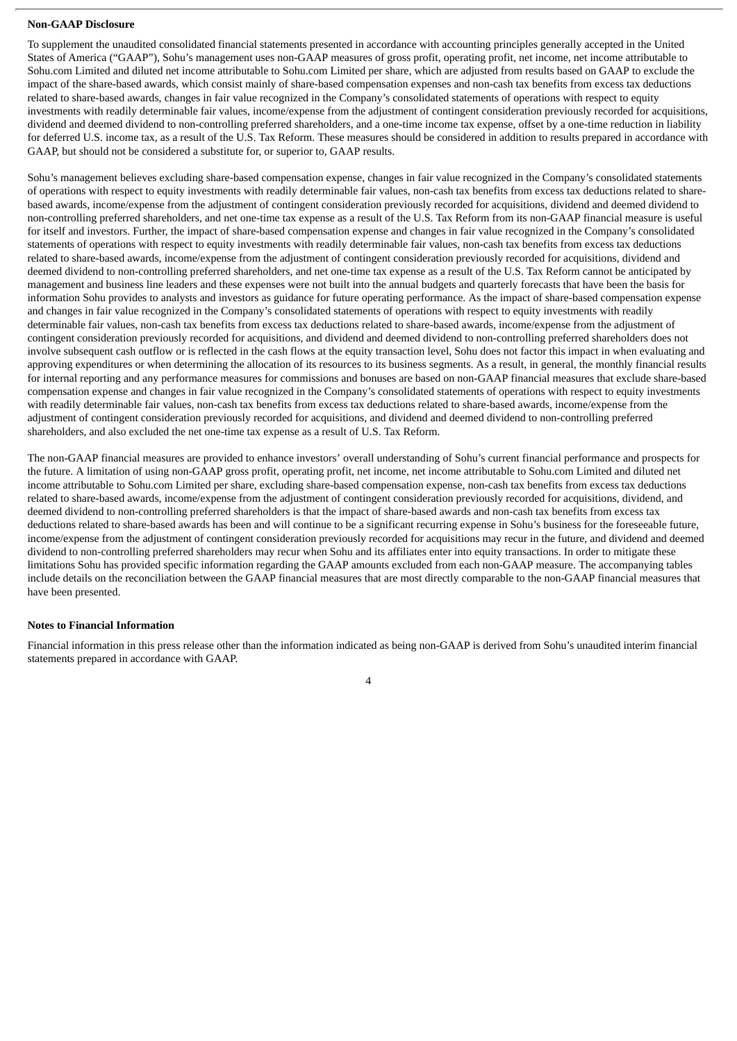#### **Non-GAAP Disclosure**

To supplement the unaudited consolidated financial statements presented in accordance with accounting principles generally accepted in the United States of America ("GAAP"), Sohu's management uses non-GAAP measures of gross profit, operating profit, net income, net income attributable to Sohu.com Limited and diluted net income attributable to Sohu.com Limited per share, which are adjusted from results based on GAAP to exclude the impact of the share-based awards, which consist mainly of share-based compensation expenses and non-cash tax benefits from excess tax deductions related to share-based awards, changes in fair value recognized in the Company's consolidated statements of operations with respect to equity investments with readily determinable fair values, income/expense from the adjustment of contingent consideration previously recorded for acquisitions, dividend and deemed dividend to non-controlling preferred shareholders, and a one-time income tax expense, offset by a one-time reduction in liability for deferred U.S. income tax, as a result of the U.S. Tax Reform. These measures should be considered in addition to results prepared in accordance with GAAP, but should not be considered a substitute for, or superior to, GAAP results.

Sohu's management believes excluding share-based compensation expense, changes in fair value recognized in the Company's consolidated statements of operations with respect to equity investments with readily determinable fair values, non-cash tax benefits from excess tax deductions related to sharebased awards, income/expense from the adjustment of contingent consideration previously recorded for acquisitions, dividend and deemed dividend to non-controlling preferred shareholders, and net one-time tax expense as a result of the U.S. Tax Reform from its non-GAAP financial measure is useful for itself and investors. Further, the impact of share-based compensation expense and changes in fair value recognized in the Company's consolidated statements of operations with respect to equity investments with readily determinable fair values, non-cash tax benefits from excess tax deductions related to share-based awards, income/expense from the adjustment of contingent consideration previously recorded for acquisitions, dividend and deemed dividend to non-controlling preferred shareholders, and net one-time tax expense as a result of the U.S. Tax Reform cannot be anticipated by management and business line leaders and these expenses were not built into the annual budgets and quarterly forecasts that have been the basis for information Sohu provides to analysts and investors as guidance for future operating performance. As the impact of share-based compensation expense and changes in fair value recognized in the Company's consolidated statements of operations with respect to equity investments with readily determinable fair values, non-cash tax benefits from excess tax deductions related to share-based awards, income/expense from the adjustment of contingent consideration previously recorded for acquisitions, and dividend and deemed dividend to non-controlling preferred shareholders does not involve subsequent cash outflow or is reflected in the cash flows at the equity transaction level, Sohu does not factor this impact in when evaluating and approving expenditures or when determining the allocation of its resources to its business segments. As a result, in general, the monthly financial results for internal reporting and any performance measures for commissions and bonuses are based on non-GAAP financial measures that exclude share-based compensation expense and changes in fair value recognized in the Company's consolidated statements of operations with respect to equity investments with readily determinable fair values, non-cash tax benefits from excess tax deductions related to share-based awards, income/expense from the adjustment of contingent consideration previously recorded for acquisitions, and dividend and deemed dividend to non-controlling preferred shareholders, and also excluded the net one-time tax expense as a result of U.S. Tax Reform.

The non-GAAP financial measures are provided to enhance investors' overall understanding of Sohu's current financial performance and prospects for the future. A limitation of using non-GAAP gross profit, operating profit, net income, net income attributable to Sohu.com Limited and diluted net income attributable to Sohu.com Limited per share, excluding share-based compensation expense, non-cash tax benefits from excess tax deductions related to share-based awards, income/expense from the adjustment of contingent consideration previously recorded for acquisitions, dividend, and deemed dividend to non-controlling preferred shareholders is that the impact of share-based awards and non-cash tax benefits from excess tax deductions related to share-based awards has been and will continue to be a significant recurring expense in Sohu's business for the foreseeable future, income/expense from the adjustment of contingent consideration previously recorded for acquisitions may recur in the future, and dividend and deemed dividend to non-controlling preferred shareholders may recur when Sohu and its affiliates enter into equity transactions. In order to mitigate these limitations Sohu has provided specific information regarding the GAAP amounts excluded from each non-GAAP measure. The accompanying tables include details on the reconciliation between the GAAP financial measures that are most directly comparable to the non-GAAP financial measures that have been presented.

#### **Notes to Financial Information**

Financial information in this press release other than the information indicated as being non-GAAP is derived from Sohu's unaudited interim financial statements prepared in accordance with GAAP.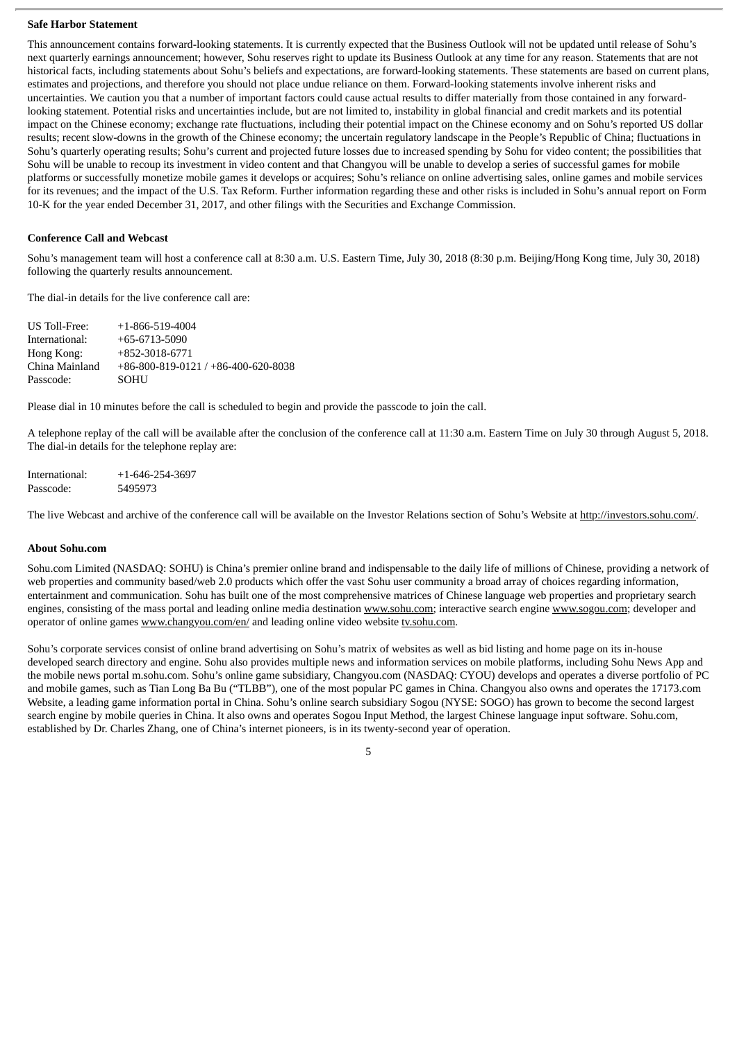#### **Safe Harbor Statement**

This announcement contains forward-looking statements. It is currently expected that the Business Outlook will not be updated until release of Sohu's next quarterly earnings announcement; however, Sohu reserves right to update its Business Outlook at any time for any reason. Statements that are not historical facts, including statements about Sohu's beliefs and expectations, are forward-looking statements. These statements are based on current plans, estimates and projections, and therefore you should not place undue reliance on them. Forward-looking statements involve inherent risks and uncertainties. We caution you that a number of important factors could cause actual results to differ materially from those contained in any forwardlooking statement. Potential risks and uncertainties include, but are not limited to, instability in global financial and credit markets and its potential impact on the Chinese economy; exchange rate fluctuations, including their potential impact on the Chinese economy and on Sohu's reported US dollar results; recent slow-downs in the growth of the Chinese economy; the uncertain regulatory landscape in the People's Republic of China; fluctuations in Sohu's quarterly operating results; Sohu's current and projected future losses due to increased spending by Sohu for video content; the possibilities that Sohu will be unable to recoup its investment in video content and that Changyou will be unable to develop a series of successful games for mobile platforms or successfully monetize mobile games it develops or acquires; Sohu's reliance on online advertising sales, online games and mobile services for its revenues; and the impact of the U.S. Tax Reform. Further information regarding these and other risks is included in Sohu's annual report on Form 10-K for the year ended December 31, 2017, and other filings with the Securities and Exchange Commission.

#### **Conference Call and Webcast**

Sohu's management team will host a conference call at 8:30 a.m. U.S. Eastern Time, July 30, 2018 (8:30 p.m. Beijing/Hong Kong time, July 30, 2018) following the quarterly results announcement.

The dial-in details for the live conference call are:

| US Toll-Free:  | $+1 - 866 - 519 - 4004$            |
|----------------|------------------------------------|
| International: | $+65-6713-5090$                    |
| Hong Kong:     | $+852-3018-6771$                   |
| China Mainland | $+86-800-819-0121/86-400-620-8038$ |
| Passcode:      | <b>SOHU</b>                        |

Please dial in 10 minutes before the call is scheduled to begin and provide the passcode to join the call.

A telephone replay of the call will be available after the conclusion of the conference call at 11:30 a.m. Eastern Time on July 30 through August 5, 2018. The dial-in details for the telephone replay are:

| International: | $+1 - 646 - 254 - 3697$ |
|----------------|-------------------------|
| Passcode:      | 5495973                 |

The live Webcast and archive of the conference call will be available on the Investor Relations section of Sohu's Website at http://investors.sohu.com/.

#### **About Sohu.com**

Sohu.com Limited (NASDAQ: SOHU) is China's premier online brand and indispensable to the daily life of millions of Chinese, providing a network of web properties and community based/web 2.0 products which offer the vast Sohu user community a broad array of choices regarding information, entertainment and communication. Sohu has built one of the most comprehensive matrices of Chinese language web properties and proprietary search engines, consisting of the mass portal and leading online media destination www.sohu.com; interactive search engine www.sogou.com; developer and operator of online games www.changyou.com/en/ and leading online video website tv.sohu.com.

Sohu's corporate services consist of online brand advertising on Sohu's matrix of websites as well as bid listing and home page on its in-house developed search directory and engine. Sohu also provides multiple news and information services on mobile platforms, including Sohu News App and the mobile news portal m.sohu.com. Sohu's online game subsidiary, Changyou.com (NASDAQ: CYOU) develops and operates a diverse portfolio of PC and mobile games, such as Tian Long Ba Bu ("TLBB"), one of the most popular PC games in China. Changyou also owns and operates the 17173.com Website, a leading game information portal in China. Sohu's online search subsidiary Sogou (NYSE: SOGO) has grown to become the second largest search engine by mobile queries in China. It also owns and operates Sogou Input Method, the largest Chinese language input software. Sohu.com, established by Dr. Charles Zhang, one of China's internet pioneers, is in its twenty-second year of operation.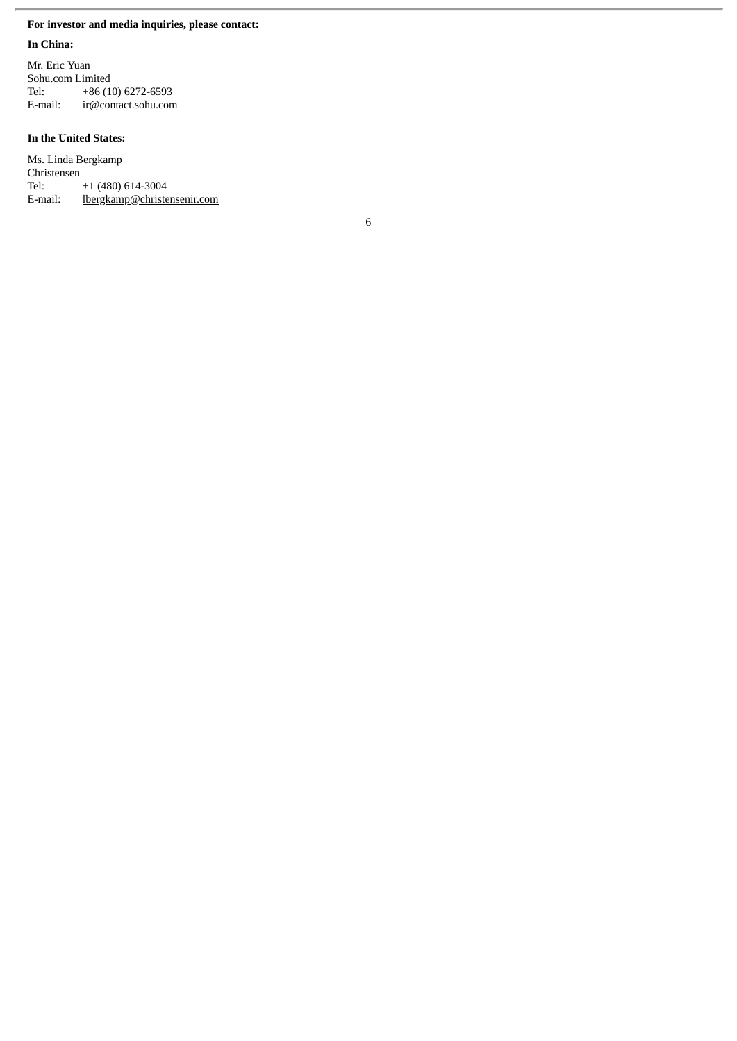## **For investor and media inquiries, please contact:**

## **In China:**

Mr. Eric Yuan Sohu.com Limited<br>Tel:  $+86(10)$ Tel:  $+86(10)6272-6593$ <br>E-mail:  $ir@contact.sohu.com$ ir@contact.sohu.com

## **In the United States:**

Ms. Linda Bergkamp Christensen<br>Tel: Tel: +1 (480) 614-3004<br>E-mail: <u>lbergkamp@christe</u> lbergkamp@christensenir.com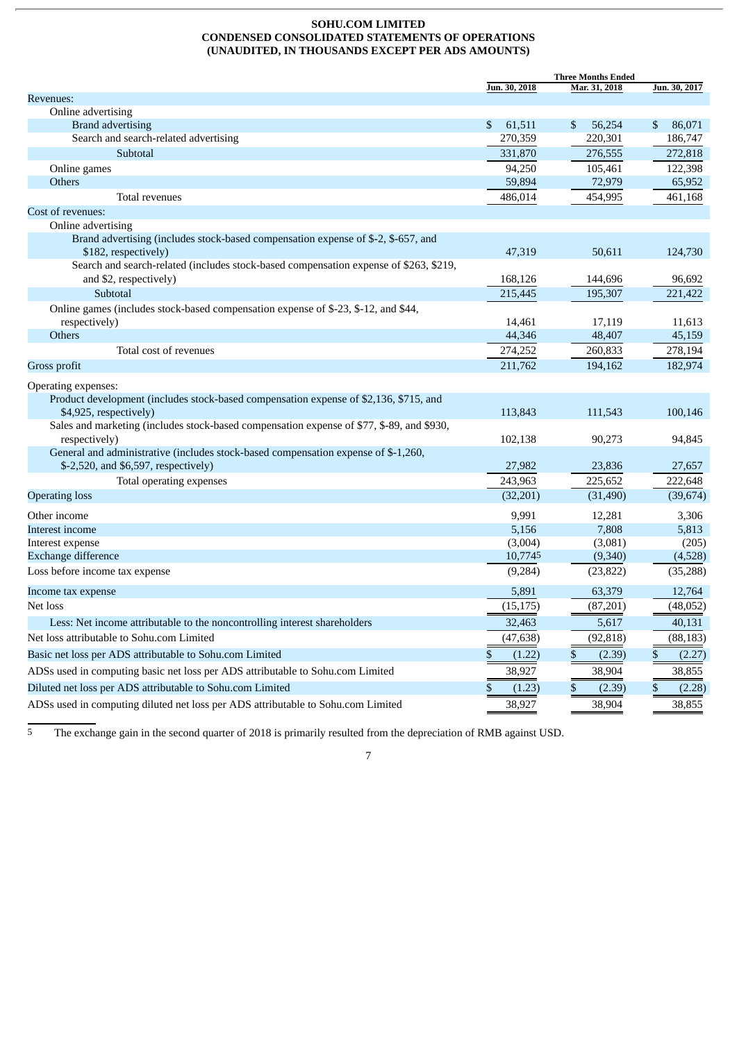## **SOHU.COM LIMITED CONDENSED CONSOLIDATED STATEMENTS OF OPERATIONS (UNAUDITED, IN THOUSANDS EXCEPT PER ADS AMOUNTS)**

|                                                                                                                            |               | <b>Three Months Ended</b> |                          |
|----------------------------------------------------------------------------------------------------------------------------|---------------|---------------------------|--------------------------|
| Revenues:                                                                                                                  | Jun. 30, 2018 | Mar. 31, 2018             | Jun. 30, 2017            |
| Online advertising                                                                                                         |               |                           |                          |
| <b>Brand advertising</b>                                                                                                   | \$<br>61,511  | \$<br>56,254              | $\mathfrak{s}$<br>86,071 |
| Search and search-related advertising                                                                                      | 270,359       | 220,301                   | 186,747                  |
| Subtotal                                                                                                                   | 331,870       | 276,555                   | 272,818                  |
| Online games                                                                                                               | 94,250        | 105,461                   | 122,398                  |
| <b>Others</b>                                                                                                              | 59,894        | 72,979                    | 65,952                   |
| <b>Total revenues</b>                                                                                                      | 486,014       | 454,995                   | 461,168                  |
| Cost of revenues:                                                                                                          |               |                           |                          |
| Online advertising                                                                                                         |               |                           |                          |
| Brand advertising (includes stock-based compensation expense of \$-2, \$-657, and<br>\$182, respectively)                  | 47,319        | 50,611                    | 124,730                  |
| Search and search-related (includes stock-based compensation expense of \$263, \$219,<br>and \$2, respectively)            | 168,126       | 144,696                   | 96,692                   |
| Subtotal                                                                                                                   | 215,445       | 195,307                   | 221,422                  |
| Online games (includes stock-based compensation expense of \$-23, \$-12, and \$44,                                         |               |                           |                          |
| respectively)                                                                                                              | 14,461        | 17,119                    | 11,613                   |
| <b>Others</b>                                                                                                              | 44,346        | 48,407                    | 45,159                   |
| Total cost of revenues                                                                                                     | 274,252       | 260,833                   | 278,194                  |
| Gross profit                                                                                                               | 211,762       | 194,162                   | 182,974                  |
| Operating expenses:                                                                                                        |               |                           |                          |
| Product development (includes stock-based compensation expense of \$2,136, \$715, and<br>\$4,925, respectively)            | 113,843       | 111,543                   | 100,146                  |
| Sales and marketing (includes stock-based compensation expense of \$77, \$-89, and \$930,<br>respectively)                 | 102,138       | 90,273                    | 94,845                   |
| General and administrative (includes stock-based compensation expense of \$-1,260,<br>\$-2,520, and \$6,597, respectively) | 27,982        | 23,836                    | 27,657                   |
| Total operating expenses                                                                                                   | 243,963       | 225,652                   | 222,648                  |
| <b>Operating loss</b>                                                                                                      | (32,201)      | (31, 490)                 | (39, 674)                |
| Other income                                                                                                               | 9,991         | 12,281                    | 3,306                    |
| Interest income                                                                                                            | 5,156         | 7,808                     | 5,813                    |
| Interest expense                                                                                                           | (3,004)       | (3,081)                   | (205)                    |
| Exchange difference                                                                                                        | 10,7745       | (9,340)                   | (4,528)                  |
| Loss before income tax expense                                                                                             | (9, 284)      | (23, 822)                 | (35, 288)                |
| Income tax expense                                                                                                         | 5,891         | 63,379                    | 12,764                   |
| Net loss                                                                                                                   | (15, 175)     | (87,201)                  | (48,052)                 |
| Less: Net income attributable to the noncontrolling interest shareholders                                                  | 32,463        | 5,617                     | 40,131                   |
| Net loss attributable to Sohu.com Limited                                                                                  | (47, 638)     | (92, 818)                 | (88, 183)                |
| Basic net loss per ADS attributable to Sohu.com Limited                                                                    | \$<br>(1.22)  | \$<br>(2.39)              | $\mathbb{S}$<br>(2.27)   |
| ADSs used in computing basic net loss per ADS attributable to Sohu.com Limited                                             | 38,927        | 38,904                    | 38,855                   |
| Diluted net loss per ADS attributable to Sohu.com Limited                                                                  | \$<br>(1.23)  | \$<br>(2.39)              | \$<br>(2.28)             |
| ADSs used in computing diluted net loss per ADS attributable to Sohu.com Limited                                           | 38,927        | 38,904                    | 38,855                   |

5 The exchange gain in the second quarter of 2018 is primarily resulted from the depreciation of RMB against USD.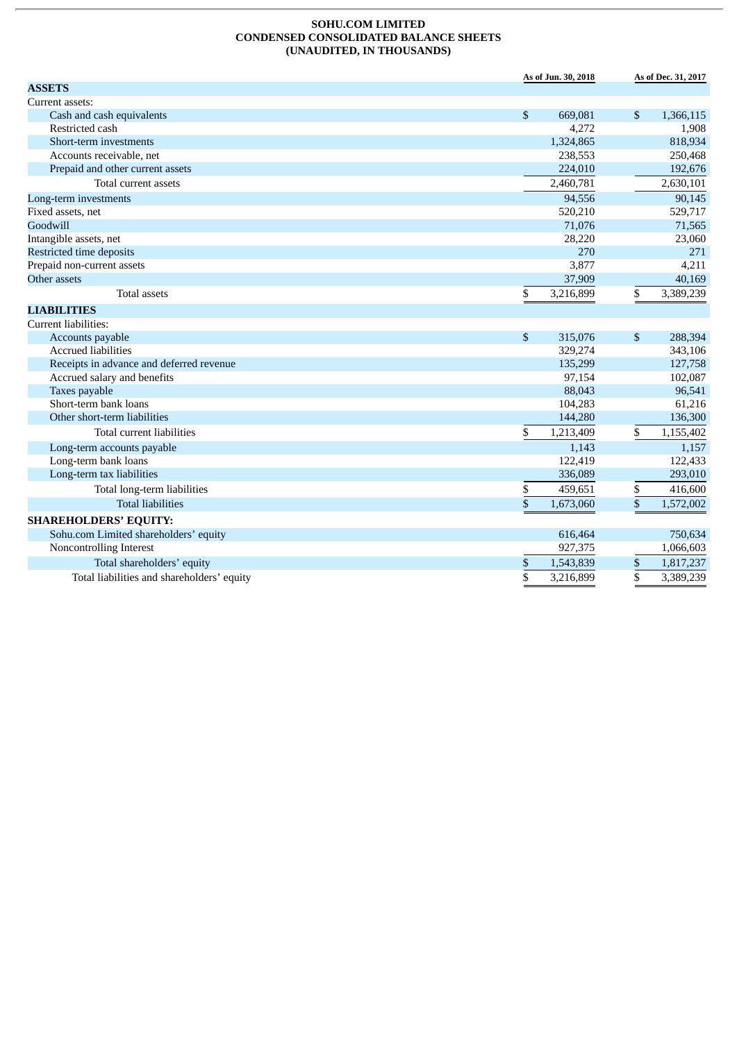## **SOHU.COM LIMITED CONDENSED CONSOLIDATED BALANCE SHEETS (UNAUDITED, IN THOUSANDS)**

|                                            |                | As of Jun. 30, 2018 | As of Dec. 31, 2017 |
|--------------------------------------------|----------------|---------------------|---------------------|
| <b>ASSETS</b>                              |                |                     |                     |
| Current assets:                            |                |                     |                     |
| Cash and cash equivalents                  | $\mathfrak{S}$ | 669,081             | \$<br>1,366,115     |
| Restricted cash                            |                | 4,272               | 1,908               |
| Short-term investments                     |                | 1,324,865           | 818,934             |
| Accounts receivable, net                   |                | 238,553             | 250,468             |
| Prepaid and other current assets           |                | 224,010             | 192,676             |
| Total current assets                       |                | 2,460,781           | 2,630,101           |
| Long-term investments                      |                | 94,556              | 90,145              |
| Fixed assets, net                          |                | 520,210             | 529,717             |
| Goodwill                                   |                | 71,076              | 71,565              |
| Intangible assets, net                     |                | 28,220              | 23,060              |
| Restricted time deposits                   |                | 270                 | 271                 |
| Prepaid non-current assets                 |                | 3,877               | 4,211               |
| Other assets                               |                | 37,909              | 40,169              |
| <b>Total assets</b>                        | \$             | 3,216,899           | \$<br>3,389,239     |
| <b>LIABILITIES</b>                         |                |                     |                     |
| Current liabilities:                       |                |                     |                     |
| Accounts payable                           | \$             | 315,076             | \$<br>288,394       |
| <b>Accrued liabilities</b>                 |                | 329,274             | 343,106             |
| Receipts in advance and deferred revenue   |                | 135,299             | 127,758             |
| Accrued salary and benefits                |                | 97,154              | 102,087             |
| Taxes payable                              |                | 88,043              | 96,541              |
| Short-term bank loans                      |                | 104,283             | 61,216              |
| Other short-term liabilities               |                | 144,280             | 136,300             |
| Total current liabilities                  | \$             | 1,213,409           | \$<br>1,155,402     |
| Long-term accounts payable                 |                | 1,143               | 1,157               |
| Long-term bank loans                       |                | 122,419             | 122,433             |
| Long-term tax liabilities                  |                | 336,089             | 293,010             |
| Total long-term liabilities                | \$             | 459,651             | \$<br>416,600       |
| <b>Total liabilities</b>                   | \$             | 1,673,060           | \$<br>1,572,002     |
| <b>SHAREHOLDERS' EQUITY:</b>               |                |                     |                     |
| Sohu.com Limited shareholders' equity      |                | 616,464             | 750,634             |
| Noncontrolling Interest                    |                | 927,375             | 1,066,603           |
| Total shareholders' equity                 | \$             | 1,543,839           | \$<br>1,817,237     |
| Total liabilities and shareholders' equity | \$             | 3,216,899           | \$<br>3,389,239     |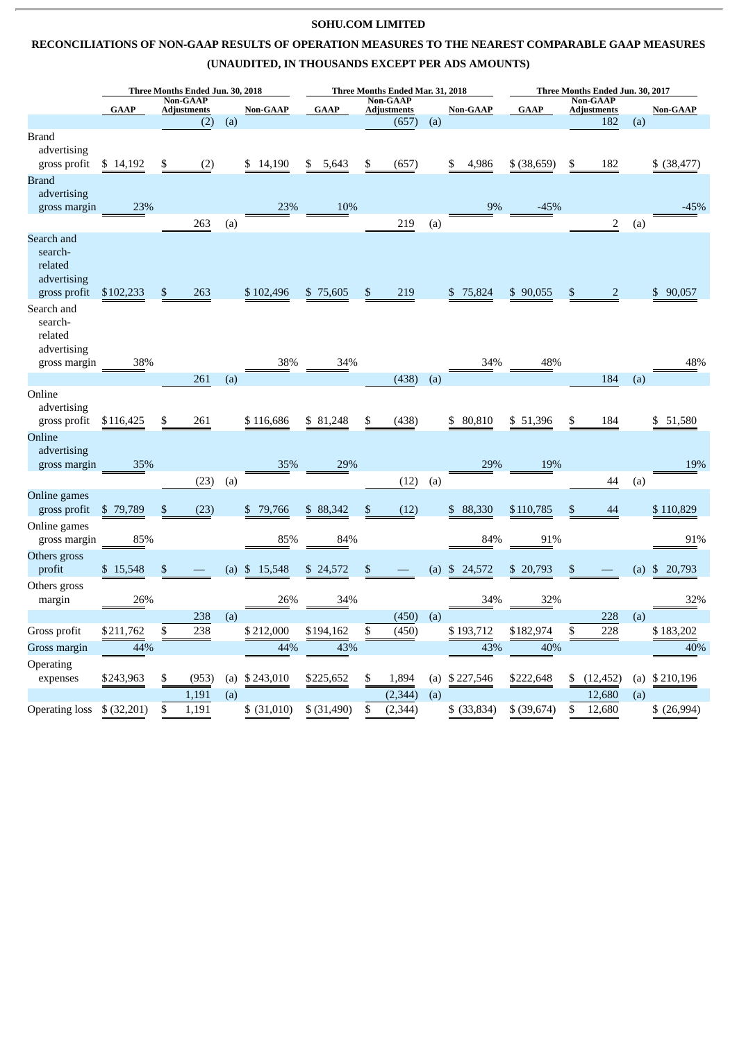## **SOHU.COM LIMITED**

## **RECONCILIATIONS OF NON-GAAP RESULTS OF OPERATION MEASURES TO THE NEAREST COMPARABLE GAAP MEASURES (UNAUDITED, IN THOUSANDS EXCEPT PER ADS AMOUNTS)**

|                                                                 | Three Months Ended Jun. 30, 2018 |    |                                       |     | Three Months Ended Mar. 31, 2018 |    |             |    |                                       | Three Months Ended Jun. 30, 2017 |                 |              |              |    |                |     |                                |  |                 |
|-----------------------------------------------------------------|----------------------------------|----|---------------------------------------|-----|----------------------------------|----|-------------|----|---------------------------------------|----------------------------------|-----------------|--------------|--------------|----|----------------|-----|--------------------------------|--|-----------------|
|                                                                 | GAAP                             |    | <b>Non-GAAP</b><br><b>Adjustments</b> |     | <b>Non-GAAP</b>                  |    | <b>GAAP</b> |    | <b>Non-GAAP</b><br><b>Adjustments</b> |                                  | <b>Non-GAAP</b> |              | GAAP         |    |                |     | <b>Non-GAAP</b><br>Adjustments |  | <b>Non-GAAP</b> |
|                                                                 |                                  |    | (2)                                   | (a) |                                  |    |             |    | (657)                                 | (a)                              |                 |              |              |    | 182            | (a) |                                |  |                 |
| <b>Brand</b><br>advertising<br>gross profit                     | \$14,192                         | \$ | (2)                                   |     | 14,190<br>\$                     | \$ | 5,643       | \$ | (657)                                 |                                  | \$              | 4,986        | \$ (38,659)  | \$ | 182            |     | \$ (38, 477)                   |  |                 |
| <b>Brand</b><br>advertising<br>gross margin                     | 23%                              |    |                                       |     | 23%                              |    | 10%         |    |                                       |                                  |                 | 9%           | $-45%$       |    |                |     | $-45%$                         |  |                 |
|                                                                 |                                  |    | 263                                   | (a) |                                  |    |             |    | 219                                   | (a)                              |                 |              |              |    | $\overline{a}$ | (a) |                                |  |                 |
| Search and<br>search-<br>related<br>advertising                 |                                  |    |                                       |     |                                  |    |             | \$ |                                       |                                  |                 |              |              |    |                |     |                                |  |                 |
| gross profit                                                    | \$102,233                        | \$ | 263                                   |     | \$102,496                        |    | \$75,605    |    | 219                                   |                                  | \$              | 75,824       | \$90,055     | \$ | $\overline{2}$ |     | 90,057<br>\$                   |  |                 |
| Search and<br>search-<br>related<br>advertising<br>gross margin | 38%                              |    |                                       |     | 38%                              |    | 34%         |    |                                       |                                  |                 | 34%          | 48%          |    |                |     | 48%                            |  |                 |
|                                                                 |                                  |    | 261                                   | (a) |                                  |    |             |    | (438)                                 | (a)                              |                 |              |              |    | 184            | (a) |                                |  |                 |
| Online<br>advertising<br>gross profit                           | \$116,425                        | \$ | 261                                   |     | \$116,686                        |    | \$ 81,248   | \$ | (438)                                 |                                  | \$              | 80,810       | \$51,396     | \$ | 184            |     | \$<br>51,580                   |  |                 |
| Online<br>advertising<br>gross margin                           | 35%                              |    | (23)                                  | (a) | 35%                              |    | 29%         |    | (12)                                  | (a)                              |                 | 29%          | 19%          |    | 44             | (a) | 19%                            |  |                 |
| Online games                                                    |                                  |    |                                       |     |                                  |    |             |    |                                       |                                  |                 |              |              |    |                |     |                                |  |                 |
| gross profit                                                    | \$79,789                         | \$ | (23)                                  |     | \$<br>79,766                     |    | \$88,342    | \$ | (12)                                  |                                  |                 | \$ 88,330    | \$110,785    | \$ | 44             |     | \$110,829                      |  |                 |
| Online games<br>gross margin                                    | 85%                              |    |                                       |     | 85%                              |    | 84%         |    |                                       |                                  |                 | 84%          | 91%          |    |                |     | 91%                            |  |                 |
| Others gross<br>profit                                          | \$15,548                         | \$ |                                       | (a) | \$<br>15,548                     |    | \$24,572    | \$ |                                       | (a)                              | \$              | 24,572       | \$<br>20,793 | \$ |                | (a) | $\mathfrak{S}$<br>20,793       |  |                 |
| Others gross<br>margin                                          | 26%                              |    |                                       |     | 26%                              |    | 34%         |    |                                       |                                  |                 | 34%          | 32%          |    |                |     | 32%                            |  |                 |
|                                                                 |                                  |    | 238                                   | (a) |                                  |    |             |    | (450)                                 | (a)                              |                 |              |              |    | 228            | (a) |                                |  |                 |
| Gross profit                                                    | \$211,762                        | \$ | 238                                   |     | \$212,000                        |    | \$194,162   | \$ | (450)                                 |                                  |                 | \$193,712    | \$182,974    | \$ | 228            |     | \$183,202                      |  |                 |
| Gross margin                                                    | 44%                              |    |                                       |     | 44%                              |    | 43%         |    |                                       |                                  |                 | 43%          | 40%          |    |                |     | 40%                            |  |                 |
| Operating                                                       |                                  |    |                                       |     |                                  |    |             |    |                                       |                                  |                 |              |              |    |                |     |                                |  |                 |
| expenses                                                        | \$243,963                        | \$ | (953)                                 | (a) | \$243,010                        |    | \$225,652   | \$ | 1,894                                 | (a)                              |                 | \$227,546    | \$222,648    | \$ | (12, 452)      | (a) | \$210,196                      |  |                 |
|                                                                 |                                  |    | 1,191                                 | (a) |                                  |    |             |    | (2, 344)                              | (a)                              |                 |              |              |    | 12,680         | (a) |                                |  |                 |
| <b>Operating loss</b>                                           | $$$ (32,201)                     | \$ | 1,191                                 |     | \$ (31,010)                      |    | \$ (31,490) | \$ | (2, 344)                              |                                  |                 | $$$ (33,834) | \$(39,674)   | \$ | 12,680         |     | $$$ (26,994)                   |  |                 |